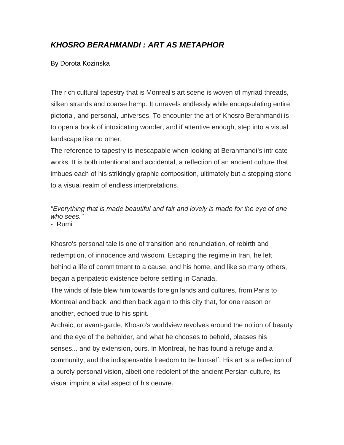## *KHOSRO BERAHMANDI : ART AS METAPHOR*

## By Dorota Kozinska

The rich cultural tapestry that is Monreal's art scene is woven of myriad threads, silken strands and coarse hemp. It unravels endlessly while encapsulating entire pictorial, and personal, universes. To encounter the art of Khosro Berahmandi is to open a book of intoxicating wonder, and if attentive enough, step into a visual landscape like no other.

The reference to tapestry is inescapable when looking at Berahmandi's intricate works. It is both intentional and accidental, a reflection of an ancient culture that imbues each of his strikingly graphic composition, ultimately but a stepping stone to a visual realm of endless interpretations.

*"Everything that is made beautiful and fair and lovely is made for the eye of one who sees."*

- Rumi

Khosro's personal tale is one of transition and renunciation, of rebirth and redemption, of innocence and wisdom. Escaping the regime in Iran, he left behind a life of commitment to a cause, and his home, and like so many others, began a peripatetic existence before settling in Canada.

The winds of fate blew him towards foreign lands and cultures, from Paris to Montreal and back, and then back again to this city that, for one reason or another, echoed true to his spirit.

Archaic, or avant-garde, Khosro's worldview revolves around the notion of beauty and the eye of the beholder, and what he chooses to behold, pleases his senses... and by extension, ours. In Montreal, he has found a refuge and a community, and the indispensable freedom to be himself. His art is a reflection of a purely personal vision, albeit one redolent of the ancient Persian culture, its visual imprint a vital aspect of his oeuvre.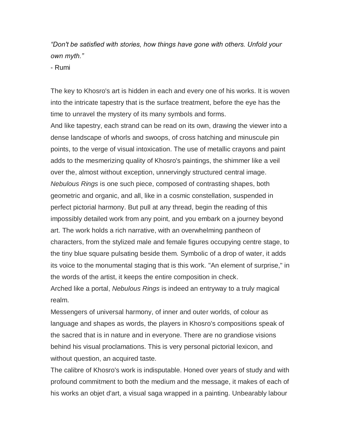*"Don't be satisfied with stories, how things have gone with others. Unfold your own myth."* 

- Rumi

The key to Khosro's art is hidden in each and every one of his works. It is woven into the intricate tapestry that is the surface treatment, before the eye has the time to unravel the mystery of its many symbols and forms.

And like tapestry, each strand can be read on its own, drawing the viewer into a dense landscape of whorls and swoops, of cross hatching and minuscule pin points, to the verge of visual intoxication. The use of metallic crayons and paint adds to the mesmerizing quality of Khosro's paintings, the shimmer like a veil over the, almost without exception, unnervingly structured central image. *Nebulous Rings* is one such piece, composed of contrasting shapes, both geometric and organic, and all, like in a cosmic constellation, suspended in perfect pictorial harmony. But pull at any thread, begin the reading of this impossibly detailed work from any point, and you embark on a journey beyond art. The work holds a rich narrative, with an overwhelming pantheon of characters, from the stylized male and female figures occupying centre stage, to the tiny blue square pulsating beside them. Symbolic of a drop of water, it adds its voice to the monumental staging that is this work. "An element of surprise," in the words of the artist, it keeps the entire composition in check. Arched like a portal, *Nebulous Rings* is indeed an entryway to a truly magical

realm.

Messengers of universal harmony, of inner and outer worlds, of colour as language and shapes as words, the players in Khosro's compositions speak of the sacred that is in nature and in everyone. There are no grandiose visions behind his visual proclamations. This is very personal pictorial lexicon, and without question, an acquired taste.

The calibre of Khosro's work is indisputable. Honed over years of study and with profound commitment to both the medium and the message, it makes of each of his works an objet d'art, a visual saga wrapped in a painting. Unbearably labour